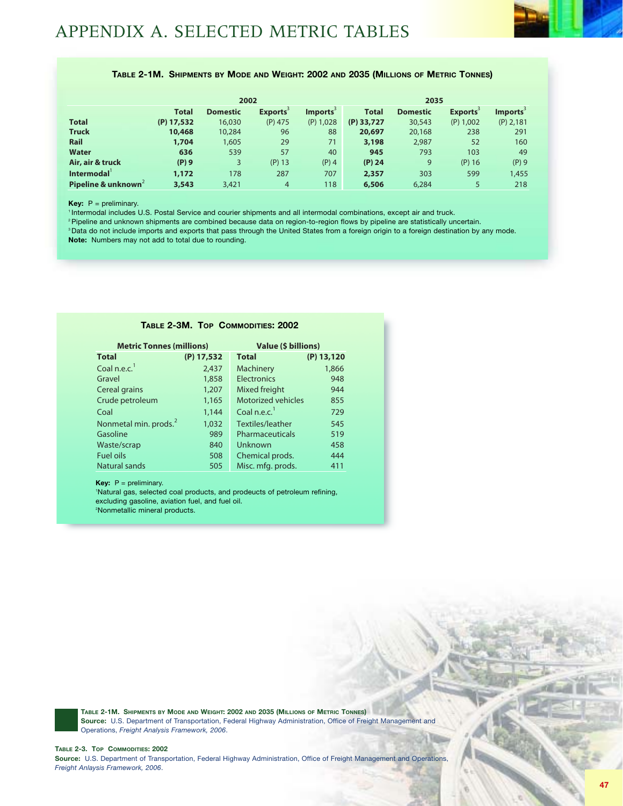## **TABLE 2-1M. SHIPMENTS BY MODE AND WEIGHT: 2002 AND 2035 (MILLIONS OF METRIC TONNES)**

|                    |              | 2002            |                             |                      | 2035         |                 |                             |                |
|--------------------|--------------|-----------------|-----------------------------|----------------------|--------------|-----------------|-----------------------------|----------------|
|                    | <b>Total</b> | <b>Domestic</b> | <b>Exports</b> <sup>3</sup> | Imports <sup>3</sup> | <b>Total</b> | <b>Domestic</b> | <b>Exports</b> <sup>3</sup> | <b>Imports</b> |
| <b>Total</b>       | $(P)$ 17,532 | 16,030          | $(P)$ 475                   | $(P)$ 1,028          | $(P)$ 33,727 | 30,543          | (P) 1,002                   | $(P)$ 2,181    |
| <b>Truck</b>       | 10,468       | 10,284          | 96                          | 88                   | 20,697       | 20,168          | 238                         | 291            |
| Rail               | 1,704        | 1,605           | 29                          | 71                   | 3,198        | 2,987           | 52                          | 160            |
| <b>Water</b>       | 636          | 539             | 57                          | 40                   | 945          | 793             | 103                         | 49             |
| Air, air & truck   | $(P)$ 9      | 3               | $(P)$ 13                    | $(P)$ 4              | $(P)$ 24     | 9               | $(P)$ 16                    | $(P)$ 9        |
| Intermodal         | 1,172        | 178             | 287                         | 707                  | 2,357        | 303             | 599                         | 1,455          |
| Pipeline & unknown | 3,543        | 3,421           | $\overline{4}$              | 118                  | 6,506        | 6.284           | 5                           | 218            |

**Key:** P = preliminary.

1 Intermodal includes U.S. Postal Service and courier shipments and all intermodal combinations, except air and truck.

2 Pipeline and unknown shipments are combined because data on region-to-region flows by pipeline are statistically uncertain.

<sup>3</sup> Data do not include imports and exports that pass through the United States from a foreign origin to a foreign destination by any mode. **Note:** Numbers may not add to total due to rounding.

| TABLE 2-3M. TOP COMMODITIES: 2002 |              |                           |              |  |  |  |  |  |  |  |
|-----------------------------------|--------------|---------------------------|--------------|--|--|--|--|--|--|--|
| <b>Metric Tonnes (millions)</b>   |              | Value (\$ billions)       |              |  |  |  |  |  |  |  |
| <b>Total</b>                      | $(P)$ 17,532 | <b>Total</b>              | $(P)$ 13,120 |  |  |  |  |  |  |  |
| Coal n.e.c. <sup>1</sup>          | 2,437        | Machinery                 | 1,866        |  |  |  |  |  |  |  |
| Gravel                            | 1,858        | <b>Electronics</b>        | 948          |  |  |  |  |  |  |  |
| Cereal grains                     | 1,207        | Mixed freight             | 944          |  |  |  |  |  |  |  |
| Crude petroleum                   | 1,165        | <b>Motorized vehicles</b> | 855          |  |  |  |  |  |  |  |
| Coal                              | 1,144        | Coal n.e.c. $1$           | 729          |  |  |  |  |  |  |  |
| Nonmetal min. prods. <sup>2</sup> | 1,032        | Textiles/leather          | 545          |  |  |  |  |  |  |  |
| Gasoline                          | 989          | Pharmaceuticals           | 519          |  |  |  |  |  |  |  |
| Waste/scrap                       | 840          | Unknown                   | 458          |  |  |  |  |  |  |  |
| <b>Fuel oils</b>                  | 508          | Chemical prods.           | 444          |  |  |  |  |  |  |  |
| Natural sands                     | 505          | Misc. mfg. prods.         | 411          |  |  |  |  |  |  |  |

**Key:** P = preliminary.

1 Natural gas, selected coal products, and prodeucts of petroleum refining, excluding gasoline, aviation fuel, and fuel oil. 2 Nonmetallic mineral products.

**TABLE 2-1M. SHIPMENTS BY MODE AND WEIGHT: 2002 AND 2035 (MILLIONS OF METRIC TONNES) Source:** U.S. Department of Transportation, Federal Highway Administration, Office of Freight Management and Operations, *Freight Analysis Framework, 2006*.

#### **TABLE 2-3. TOP COMMODITIES: 2002**

**Source:** U.S. Department of Transportation, Federal Highway Administration, Office of Freight Management and Operations, *Freight Anlaysis Framework, 2006*.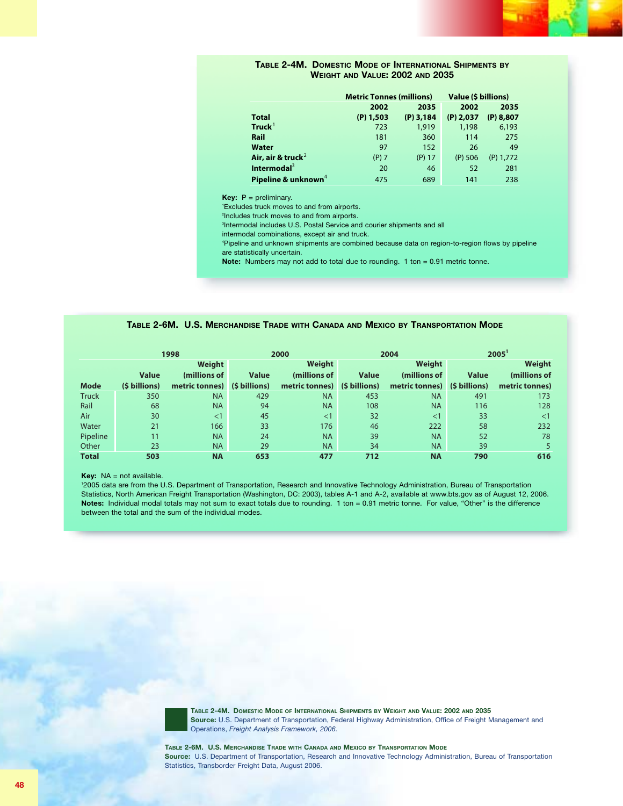#### **TABLE 2-4M. DOMESTIC MODE OF INTERNATIONAL SHIPMENTS BY WEIGHT AND VALUE: 2002 AND 2035**

|                                 | <b>Metric Tonnes (millions)</b> |             | Value (\$ billions) |             |
|---------------------------------|---------------------------------|-------------|---------------------|-------------|
|                                 | 2002                            | 2035        | 2002                | 2035        |
| <b>Total</b>                    | $(P)$ 1,503                     | $(P)$ 3,184 | $(P)$ 2,037         | $(P)$ 8,807 |
| Truck <sup>1</sup>              | 723                             | 1,919       | 1,198               | 6,193       |
| Rail                            | 181                             | 360         | 114                 | 275         |
| Water                           | 97                              | 152         | 26                  | 49          |
| Air, air & truck <sup>2</sup>   | $(P)$ 7                         | $(P)$ 17    | $(P)$ 506           | $(P)$ 1,772 |
| Intermodal <sup>3</sup>         | 20                              | 46          | 52                  | 281         |
| Pipeline & unknown <sup>4</sup> | 475                             | 689         | 141                 | 238         |

**Key:** P = preliminary.

1 Excludes truck moves to and from airports.

2 Includes truck moves to and from airports.

3 Intermodal includes U.S. Postal Service and courier shipments and all

intermodal combinations, except air and truck.

4 Pipeline and unknown shipments are combined because data on region-to-region flows by pipeline are statistically uncertain.

**Note:** Numbers may not add to total due to rounding. 1 ton = 0.91 metric tonne.

#### **TABLE 2-6M. U.S. MERCHANDISE TRADE WITH CANADA AND MEXICO BY TRANSPORTATION MODE**

|              |               | 1998                         |              | 2000                         |              | 2004           | 2005          |                |  |
|--------------|---------------|------------------------------|--------------|------------------------------|--------------|----------------|---------------|----------------|--|
|              |               | Weight                       |              | Weight                       |              | Weight         |               | Weight         |  |
|              | <b>Value</b>  | (millions of                 | <b>Value</b> | (millions of                 | <b>Value</b> | (millions of   | <b>Value</b>  | (millions of   |  |
| <b>Mode</b>  | (\$ billions) | metric tonnes) (\$ billions) |              | metric tonnes) (\$ billions) |              | metric tonnes) | (\$ billions) | metric tonnes) |  |
| <b>Truck</b> | 350           | <b>NA</b>                    | 429          | <b>NA</b>                    | 453          | <b>NA</b>      | 491           | 173            |  |
| Rail         | 68            | <b>NA</b>                    | 94           | <b>NA</b>                    | 108          | <b>NA</b>      | 116           | 128            |  |
| Air          | 30            | $\leq$ 1                     | 45           | <1                           | 32           | $\leq$ 1       | 33            | <1             |  |
| Water        | 21            | 166                          | 33           | 176                          | 46           | 222            | 58            | 232            |  |
| Pipeline     | 11            | <b>NA</b>                    | 24           | <b>NA</b>                    | 39           | <b>NA</b>      | 52            | 78             |  |
| Other        | 23            | <b>NA</b>                    | 29           | <b>NA</b>                    | 34           | <b>NA</b>      | 39            |                |  |
| <b>Total</b> | 503           | <b>NA</b>                    | 653          | 477                          | 712          | <b>NA</b>      | 790           | 616            |  |

**Key:** NA = not available.

1 2005 data are from the U.S. Department of Transportation, Research and Innovative Technology Administration, Bureau of Transportation Statistics, North American Freight Transportation (Washington, DC: 2003), tables A-1 and A-2, available at www.bts.gov as of August 12, 2006. **Notes:** Individual modal totals may not sum to exact totals due to rounding. 1 ton = 0.91 metric tonne. For value, "Other" is the difference between the total and the sum of the individual modes.



**TABLE 2-4M. DOMESTIC MODE OF INTERNATIONAL SHIPMENTS BY WEIGHT AND VALUE: 2002 AND 2035 Source:** U.S. Department of Transportation, Federal Highway Administration, Office of Freight Management and Operations, *Freight Analysis Framework, 2006.*

**TABLE 2-6M. U.S. MERCHANDISE TRADE WITH CANADA AND MEXICO BY TRANSPORTATION MODE Source:** U.S. Department of Transportation, Research and Innovative Technology Administration, Bureau of Transportation Statistics, Transborder Freight Data, August 2006.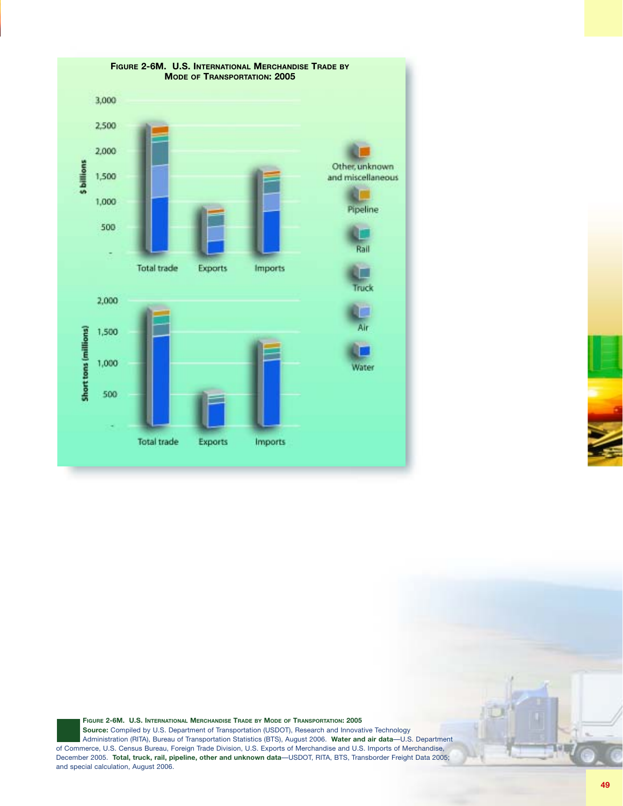

**FIGURE 2-6M. U.S. INTERNATIONAL MERCHANDISE TRADE BY MODE OF TRANSPORTATION: 2005 Source:** Compiled by U.S. Department of Transportation (USDOT), Research and Innovative Technology Administration (RITA), Bureau of Transportation Statistics (BTS), August 2006. **Water and air data**—U.S. Department of Commerce, U.S. Census Bureau, Foreign Trade Division, U.S. Exports of Merchandise and U.S. Imports of Merchandise, December 2005. **Total, truck, rail, pipeline, other and unknown data**—USDOT, RITA, BTS, Transborder Freight Data 2005; and special calculation, August 2006.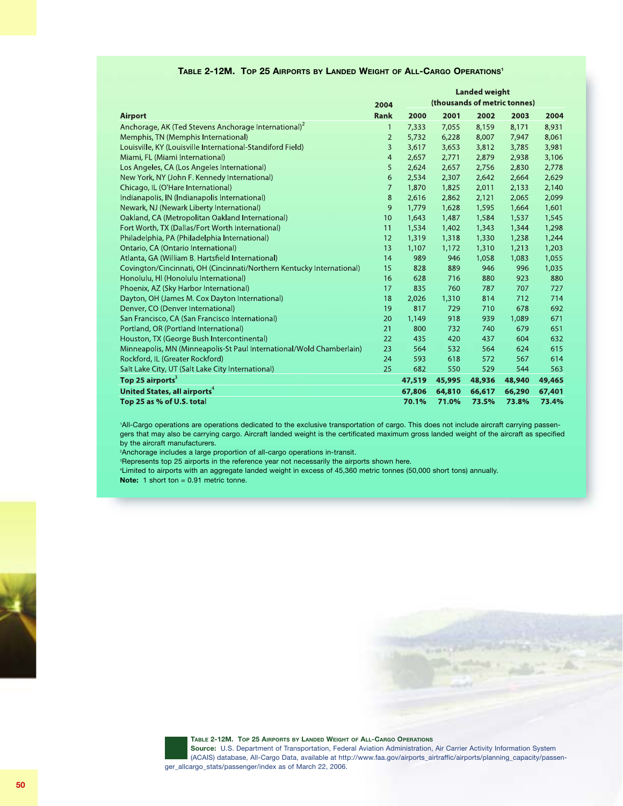|                                                                       |                |        |        | <b>Landed weight</b> |                              |        |
|-----------------------------------------------------------------------|----------------|--------|--------|----------------------|------------------------------|--------|
|                                                                       | 2004           |        |        |                      | (thousands of metric tonnes) |        |
| <b>Airport</b>                                                        | <b>Rank</b>    | 2000   | 2001   | 2002                 | 2003                         | 2004   |
| Anchorage, AK (Ted Stevens Anchorage International) <sup>2</sup>      | 1              | 7,333  | 7,055  | 8,159                | 8,171                        | 8,931  |
| Memphis, TN (Memphis International)                                   | $\overline{2}$ | 5,732  | 6,228  | 8,007                | 7,947                        | 8,061  |
| Louisville, KY (Louisville International-Standiford Field)            | 3              | 3,617  | 3,653  | 3,812                | 3,785                        | 3,981  |
| Miami, FL (Miami International)                                       | $\overline{4}$ | 2,657  | 2,771  | 2,879                | 2,938                        | 3,106  |
| Los Angeles, CA (Los Angeles International)                           | 5              | 2,624  | 2,657  | 2,756                | 2,830                        | 2,778  |
| New York, NY (John F. Kennedy International)                          | 6              | 2,534  | 2,307  | 2,642                | 2,664                        | 2,629  |
| Chicago, IL (O'Hare International)                                    | $\overline{7}$ | 1,870  | 1,825  | 2,011                | 2,133                        | 2,140  |
| Indianapolis, IN (Indianapolis International)                         | 8              | 2,616  | 2,862  | 2,121                | 2,065                        | 2,099  |
| Newark, NJ (Newark Liberty International)                             | 9              | 1,779  | 1,628  | 1,595                | 1,664                        | 1,601  |
| Oakland, CA (Metropolitan Oakland International)                      | 10             | 1,643  | 1,487  | 1,584                | 1,537                        | 1,545  |
| Fort Worth, TX (Dallas/Fort Worth International)                      | 11             | 1,534  | 1,402  | 1,343                | 1,344                        | 1,298  |
| Philadelphia, PA (Philadelphia International)                         | 12             | 1,319  | 1,318  | 1,330                | 1,238                        | 1,244  |
| Ontario, CA (Ontario International)                                   | 13             | 1,107  | 1,172  | 1,310                | 1,213                        | 1,203  |
| Atlanta, GA (William B. Hartsfield International)                     | 14             | 989    | 946    | 1,058                | 1,083                        | 1,055  |
| Covington/Cincinnati, OH (Cincinnati/Northern Kentucky International) | 15             | 828    | 889    | 946                  | 996                          | 1,035  |
| Honolulu, HI (Honolulu International)                                 | 16             | 628    | 716    | 880                  | 923                          | 880    |
| Phoenix, AZ (Sky Harbor International)                                | 17             | 835    | 760    | 787                  | 707                          | 727    |
| Dayton, OH (James M. Cox Dayton International)                        | 18             | 2,026  | 1,310  | 814                  | 712                          | 714    |
| Denver, CO (Denver International)                                     | 19             | 817    | 729    | 710                  | 678                          | 692    |
| San Francisco, CA (San Francisco International)                       | 20             | 1,149  | 918    | 939                  | 1,089                        | 671    |
| Portland, OR (Portland International)                                 | 21             | 800    | 732    | 740                  | 679                          | 651    |
| Houston, TX (George Bush Intercontinental)                            | 22             | 435    | 420    | 437                  | 604                          | 632    |
| Minneapolis, MN (Minneapolis-St Paul International/Wold Chamberlain)  | 23             | 564    | 532    | 564                  | 624                          | 615    |
| Rockford, IL (Greater Rockford)                                       | 24             | 593    | 618    | 572                  | 567                          | 614    |
| Salt Lake City, UT (Salt Lake City International)                     | 25             | 682    | 550    | 529                  | 544                          | 563    |
| Top 25 airports <sup>3</sup>                                          |                | 47,519 | 45,995 | 48,936               | 48,940                       | 49,465 |
| United States, all airports <sup>4</sup>                              |                | 67,806 | 64,810 | 66,617               | 66,290                       | 67,401 |
| Top 25 as % of U.S. total                                             |                | 70.1%  | 71.0%  | 73.5%                | 73.8%                        | 73.4%  |

### **TABLE 2-12M. TOP 25 AIRPORTS BY LANDED WEIGHT OF ALL-CARGO OPERATIONS1**

'All-Cargo operations are operations dedicated to the exclusive transportation of cargo. This does not include aircraft carrying passengers that may also be carrying cargo. Aircraft landed weight is the certificated maximum gross landed weight of the aircraft as specified by the aircraft manufacturers.

2 Anchorage includes a large proportion of all-cargo operations in-transit.

3 Represents top 25 airports in the reference year not necessarily the airports shown here.

4 Limited to airports with an aggregate landed weight in excess of 45,360 metric tonnes (50,000 short tons) annually. **Note:** 1 short ton = 0.91 metric tonne.







**TABLE 2-12M. TOP 25 AIRPORTS BY LANDED WEIGHT OF ALL-CARGO OPERATIONS**

**Source:** U.S. Department of Transportation, Federal Aviation Administration, Air Carrier Activity Information System (ACAIS) database, All-Cargo Data, available at http://www.faa.gov/airports\_airtraffic/airports/planning\_capacity/passenger\_allcargo\_stats/passenger/index as of March 22, 2006.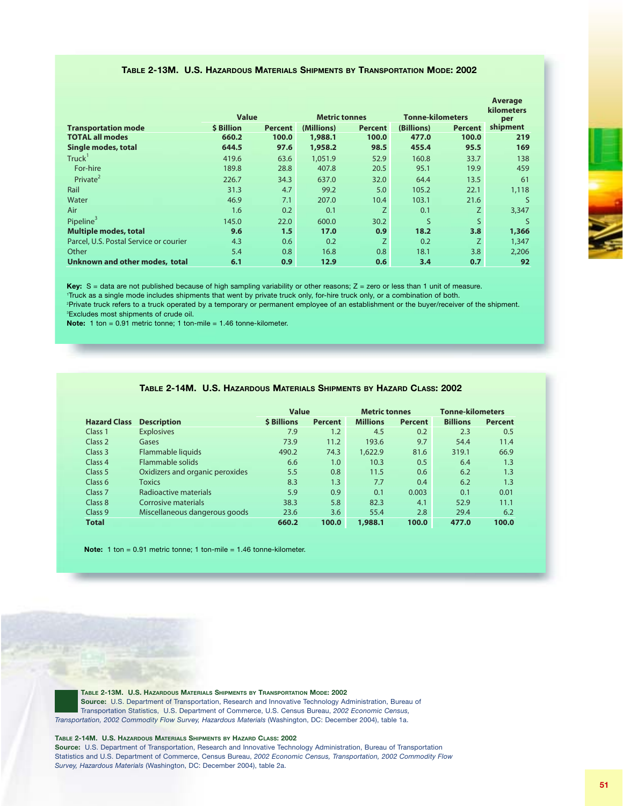### **TABLE 2-13M. U.S. HAZARDOUS MATERIALS SHIPMENTS BY TRANSPORTATION MODE: 2002**

|                                        |                   |                  |                      |                  |                         |                   | Average  |
|----------------------------------------|-------------------|------------------|----------------------|------------------|-------------------------|-------------------|----------|
|                                        | <b>Value</b>      |                  | <b>Metric tonnes</b> |                  | <b>Tonne-kilometers</b> | kilometers<br>per |          |
| <b>Transportation mode</b>             | <b>\$ Billion</b> | <b>Percent</b>   | (Millions)           | <b>Percent</b>   | (Billions)              | <b>Percent</b>    | shipment |
| <b>TOTAL all modes</b>                 | 660.2             | 100.0            | 1,988.1              | 100.0            | 477.0                   | 100.0             | 219      |
| Single modes, total                    | 644.5             | 97.6             | 1,958.2              | 98.5             | 455.4                   | 95.5              | 169      |
| Truck <sup>'</sup>                     | 419.6             | 63.6             | 1,051.9              | 52.9             | 160.8                   | 33.7              | 138      |
| For-hire                               | 189.8             | 28.8             | 407.8                | 20.5             | 95.1                    | 19.9              | 459      |
| Private <sup>2</sup>                   | 226.7             | 34.3             | 637.0                | 32.0             | 64.4                    | 13.5              | 61       |
| Rail                                   | 31.3              | 4.7              | 99.2                 | 5.0              | 105.2                   | 22.1              | 1,118    |
| Water                                  | 46.9              | 7.1              | 207.0                | 10.4             | 103.1                   | 21.6              | S        |
| Air                                    | 1.6               | 0.2              | 0.1                  | Z.               | 0.1                     | Z.                | 3,347    |
| Pipeline <sup>3</sup>                  | 145.0             | 22.0             | 600.0                | 30.2             | S                       | S.                | S        |
| <b>Multiple modes, total</b>           | 9.6               | 1.5              | 17.0                 | 0.9 <sub>2</sub> | 18.2                    | 3.8               | 1,366    |
| Parcel, U.S. Postal Service or courier | 4.3               | 0.6              | 0.2                  | Z.               | 0.2                     | Z                 | 1,347    |
| Other                                  | 5.4               | 0.8              | 16.8                 | 0.8 <sub>0</sub> | 18.1                    | 3.8               | 2,206    |
| Unknown and other modes, total         | 6.1               | 0.9 <sub>1</sub> | 12.9                 | 0.6 <sub>1</sub> | 3.4                     | 0.7               | 92       |
|                                        |                   |                  |                      |                  |                         |                   |          |

Key: S = data are not published because of high sampling variability or other reasons; Z = zero or less than 1 unit of measure. Truck as a single mode includes shipments that went by private truck only, for-hire truck only, or a combination of both. Private truck refers to a truck operated by a temporary or permanent employee of an establishment or the buyer/receiver of the shipment. Excludes most shipments of crude oil.

**Note:** 1 ton = 0.91 metric tonne; 1 ton-mile = 1.46 tonne-kilometer.

|                     | IADLE Z"THIVI.  U.S. HAZARDUUS IVIAIERIALS SHIPMENTS BY HAZARD OLASS. ZUUZ |                    |                |                      |                |                         |                |
|---------------------|----------------------------------------------------------------------------|--------------------|----------------|----------------------|----------------|-------------------------|----------------|
|                     |                                                                            |                    |                |                      |                |                         |                |
|                     |                                                                            | <b>Value</b>       |                | <b>Metric tonnes</b> |                | <b>Tonne-kilometers</b> |                |
| <b>Hazard Class</b> | <b>Description</b>                                                         | <b>\$ Billions</b> | <b>Percent</b> | <b>Millions</b>      | <b>Percent</b> | <b>Billions</b>         | <b>Percent</b> |
| Class 1             | <b>Explosives</b>                                                          | 7.9                | 1.2            | 4.5                  | 0.2            | 2.3                     | 0.5            |
| Class 2             | Gases                                                                      | 73.9               | 11.2           | 193.6                | 9.7            | 54.4                    | 11.4           |
| Class 3             | Flammable liquids                                                          | 490.2              | 74.3           | 1.622.9              | 81.6           | 319.1                   | 66.9           |
| Class <sub>4</sub>  | Flammable solids                                                           | 6.6                | 1.0            | 10.3                 | 0.5            | 6.4                     | 1.3            |
| Class 5             | Oxidizers and organic peroxides                                            | 5.5                | 0.8            | 11.5                 | 0.6            | 6.2                     | 1.3            |
| Class <sub>6</sub>  | <b>Toxics</b>                                                              | 8.3                | 1.3            | 7.7                  | 0.4            | 6.2                     | 1.3            |
| Class <sub>7</sub>  | Radioactive materials                                                      | 5.9                | 0.9            | 0.1                  | 0.003          | 0.1                     | 0.01           |
| Class 8             | Corrosive materials                                                        | 38.3               | 5.8            | 82.3                 | 4.1            | 52.9                    | 11.1           |
| Class <sub>9</sub>  | Miscellaneous dangerous goods                                              | 23.6               | 3.6            | 55.4                 | 2.8            | 29.4                    | 6.2            |
| <b>Total</b>        |                                                                            | 660.2              | 100.0          | 1,988.1              | 100.0          | 477.0                   | 100.0          |

**TABLE 2-14M. U.S. HAZARDOUS MATERIALS SHIPMENTS BY HAZARD CLASS: 2002**

**Note:** 1 ton = 0.91 metric tonne; 1 ton-mile = 1.46 tonne-kilometer.

**TABLE 2-13M. U.S. HAZARDOUS MATERIALS SHIPMENTS BY TRANSPORTATION MODE: 2002 Source:** U.S. Department of Transportation, Research and Innovative Technology Administration, Bureau of Transportation Statistics, U.S. Department of Commerce, U.S. Census Bureau, *2002 Economic Census, Transportation, 2002 Commodity Flow Survey, Hazardous Materials* (Washington, DC: December 2004), table 1a.

#### **TABLE 2-14M. U.S. HAZARDOUS MATERIALS SHIPMENTS BY HAZARD CLASS: 2002**

**Source:** U.S. Department of Transportation, Research and Innovative Technology Administration, Bureau of Transportation Statistics and U.S. Department of Commerce, Census Bureau, *2002 Economic Census, Transportation, 2002 Commodity Flow Survey, Hazardous Materials* (Washington, DC: December 2004), table 2a.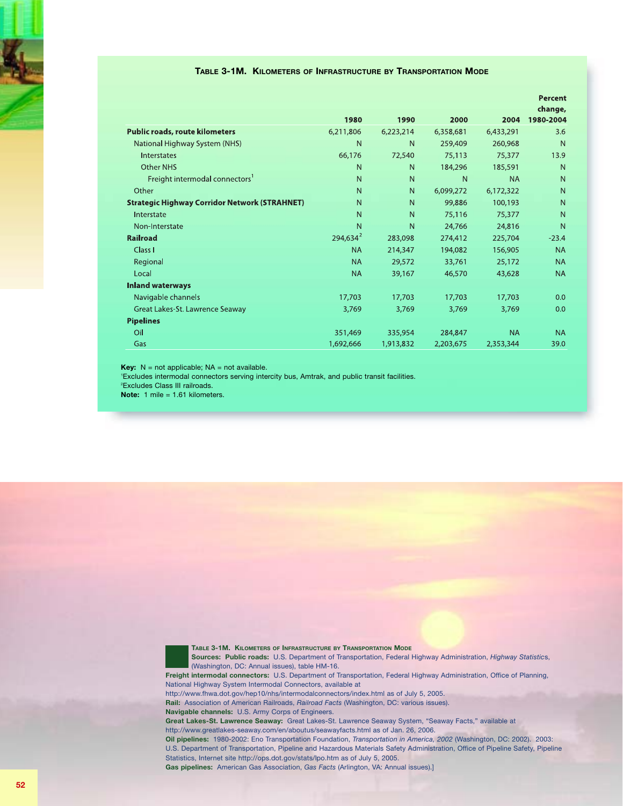#### **TABLE 3-1M. KILOMETERS OF INFRASTRUCTURE BY TRANSPORTATION MODE**

|                                                      |             |           |           |           | <b>Percent</b>       |
|------------------------------------------------------|-------------|-----------|-----------|-----------|----------------------|
|                                                      | 1980        | 1990      | 2000      | 2004      | change,<br>1980-2004 |
| <b>Public roads, route kilometers</b>                | 6,211,806   | 6,223,214 | 6,358,681 | 6,433,291 | 3.6                  |
| National Highway System (NHS)                        | N           | N         | 259,409   | 260,968   | N                    |
| <b>Interstates</b>                                   | 66,176      | 72,540    | 75,113    | 75,377    | 13.9                 |
| <b>Other NHS</b>                                     | N           | N         | 184,296   | 185,591   | N                    |
| Freight intermodal connectors <sup>1</sup>           | N           | N         | N         | <b>NA</b> | N                    |
| Other                                                | N           | N         | 6,099,272 | 6,172,322 | N                    |
| <b>Strategic Highway Corridor Network (STRAHNET)</b> | N           | N         | 99,886    | 100,193   | $\mathsf{N}$         |
| Interstate                                           | N           | N         | 75,116    | 75,377    | N                    |
| Non-Interstate                                       | N           | N         | 24,766    | 24,816    | N                    |
| <b>Railroad</b>                                      | $294,634^2$ | 283,098   | 274,412   | 225,704   | $-23.4$              |
| Class I                                              | <b>NA</b>   | 214,347   | 194,082   | 156,905   | <b>NA</b>            |
| Regional                                             | <b>NA</b>   | 29,572    | 33,761    | 25,172    | <b>NA</b>            |
| Local                                                | <b>NA</b>   | 39,167    | 46,570    | 43,628    | <b>NA</b>            |
| <b>Inland waterways</b>                              |             |           |           |           |                      |
| Navigable channels                                   | 17,703      | 17,703    | 17,703    | 17,703    | 0.0                  |
| Great Lakes-St. Lawrence Seaway                      | 3,769       | 3,769     | 3,769     | 3,769     | 0.0                  |
| <b>Pipelines</b>                                     |             |           |           |           |                      |
| Oil                                                  | 351,469     | 335,954   | 284,847   | <b>NA</b> | <b>NA</b>            |
| Gas                                                  | 1,692,666   | 1,913,832 | 2,203,675 | 2,353,344 | 39.0                 |

**Key:**  $N = not applicable; NA = not available.$ 

1 Excludes intermodal connectors serving intercity bus, Amtrak, and public transit facilities.

2 Excludes Class III railroads.

**Note:** 1 mile = 1.61 kilometers.



**TABLE 3-1M. KILOMETERS OF INFRASTRUCTURE BY TRANSPORTATION MODE**

**Sources: Public roads:** U.S. Department of Transportation, Federal Highway Administration, *Highway Statistic*s, (Washington, DC: Annual issues), table HM-16. **Freight intermodal connectors:** U.S. Department of Transportation, Federal Highway Administration, Office of Planning, National Highway System Intermodal Connectors, available at http://www.fhwa.dot.gov/hep10/nhs/intermodalconnectors/index.html as of July 5, 2005. **Rail:** Association of American Railroads, *Railroad Facts* (Washington, DC: various issues). **Navigable channels:** U.S. Army Corps of Engineers. **Great Lakes-St. Lawrence Seaway:** Great Lakes-St. Lawrence Seaway System, "Seaway Facts," available at http://www.greatlakes-seaway.com/en/aboutus/seawayfacts.html as of Jan. 26, 2006.

**Oil pipelines:** 1980-2002: Eno Transportation Foundation, *Transportation in America, 2002* (Washington, DC: 2002). 2003: U.S. Department of Transportation, Pipeline and Hazardous Materials Safety Administration, Office of Pipeline Safety, Pipeline Statistics, Internet site http://ops.dot.gov/stats/lpo.htm as of July 5, 2005.

**Gas pipelines:** American Gas Association, *Gas Facts* (Arlington, VA: Annual issues).]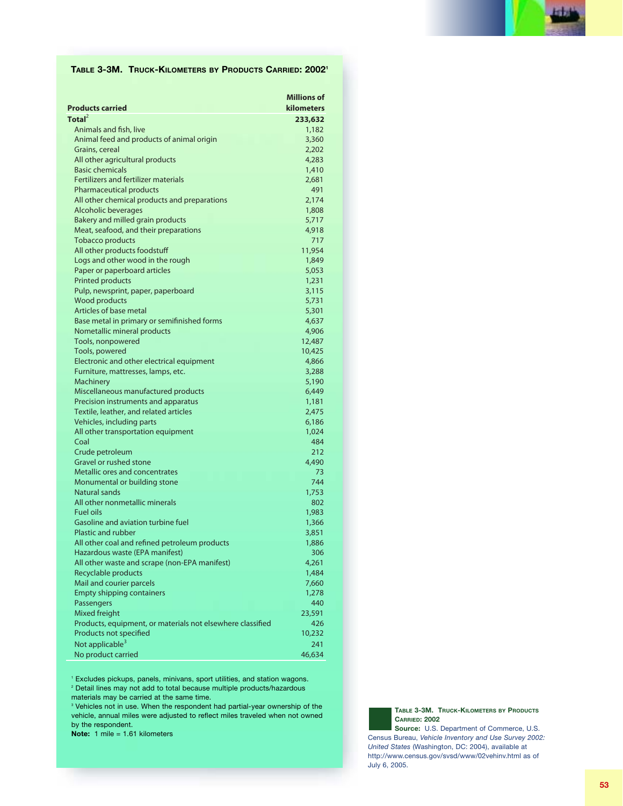

### **TABLE 3-3M. TRUCK-KILOMETERS BY PRODUCTS CARRIED: 20021**

| <b>Products carried</b>                                    | <b>Millions of</b><br><b>kilometers</b> |
|------------------------------------------------------------|-----------------------------------------|
| Total $^2$                                                 | 233,632                                 |
| Animals and fish, live                                     | 1,182                                   |
| Animal feed and products of animal origin                  | 3,360                                   |
| Grains, cereal                                             | 2,202                                   |
| All other agricultural products                            | 4,283                                   |
| <b>Basic chemicals</b>                                     | 1,410                                   |
| <b>Fertilizers and fertilizer materials</b>                | 2,681                                   |
| <b>Pharmaceutical products</b>                             | 491                                     |
| All other chemical products and preparations               | 2,174                                   |
| Alcoholic beverages                                        | 1,808                                   |
| Bakery and milled grain products                           | 5,717                                   |
| Meat, seafood, and their preparations                      | 4,918                                   |
| <b>Tobacco products</b>                                    | 717                                     |
| All other products foodstuff                               | 11,954                                  |
| Logs and other wood in the rough                           | 1,849                                   |
| Paper or paperboard articles                               | 5,053                                   |
| <b>Printed products</b>                                    | 1,231                                   |
| Pulp, newsprint, paper, paperboard                         | 3,115                                   |
| <b>Wood products</b>                                       | 5,731                                   |
| Articles of base metal                                     | 5,301                                   |
| Base metal in primary or semifinished forms                | 4,637                                   |
| Nometallic mineral products                                | 4,906                                   |
| Tools, nonpowered                                          | 12,487                                  |
| Tools, powered                                             | 10,425                                  |
| Electronic and other electrical equipment                  | 4,866                                   |
| Furniture, mattresses, lamps, etc.                         | 3,288                                   |
| <b>Machinery</b>                                           | 5,190                                   |
| Miscellaneous manufactured products                        | 6,449                                   |
| Precision instruments and apparatus                        | 1,181                                   |
| Textile, leather, and related articles                     | 2,475                                   |
| Vehicles, including parts                                  | 6,186                                   |
| All other transportation equipment                         | 1,024                                   |
| Coal                                                       | 484                                     |
| Crude petroleum                                            | 212                                     |
| Gravel or rushed stone                                     | 4,490                                   |
| Metallic ores and concentrates                             | 73                                      |
| Monumental or building stone                               | 744                                     |
| <b>Natural sands</b>                                       | 1,753                                   |
| All other nonmetallic minerals                             | 802                                     |
| <b>Fuel oils</b>                                           | 1,983                                   |
| Gasoline and aviation turbine fuel                         | 1,366                                   |
| <b>Plastic and rubber</b>                                  | 3,851                                   |
| All other coal and refined petroleum products              | 1,886                                   |
| Hazardous waste (EPA manifest)                             | 306                                     |
| All other waste and scrape (non-EPA manifest)              | 4,261                                   |
| Recyclable products                                        | 1,484                                   |
| Mail and courier parcels                                   | 7,660                                   |
| <b>Empty shipping containers</b>                           | 1,278                                   |
| Passengers                                                 | 440                                     |
| Mixed freight                                              | 23,591                                  |
| Products, equipment, or materials not elsewhere classified | 426                                     |
| Products not specified                                     | 10,232                                  |
| Not applicable <sup>3</sup>                                | 241                                     |
| No product carried                                         | 46,634                                  |

<sup>1</sup> Excludes pickups, panels, minivans, sport utilities, and station wagons. <sup>2</sup> Detail lines may not add to total because multiple products/hazardous materials may be carried at the same time.

<sup>3</sup> Vehicles not in use. When the respondent had partial-year ownership of the vehicle, annual miles were adjusted to reflect miles traveled when not owned by the respondent.

**Note:** 1 mile = 1.61 kilometers

**TABLE 3-3M. TRUCK-KILOMETERS BY PRODUCTS CARRIED: 2002**

**Source:** U.S. Department of Commerce, U.S. Census Bureau, *Vehicle Inventory and Use Survey 2002: United States* (Washington, DC: 2004), available at http://www.census.gov/svsd/www/02vehinv.html as of July 6, 2005.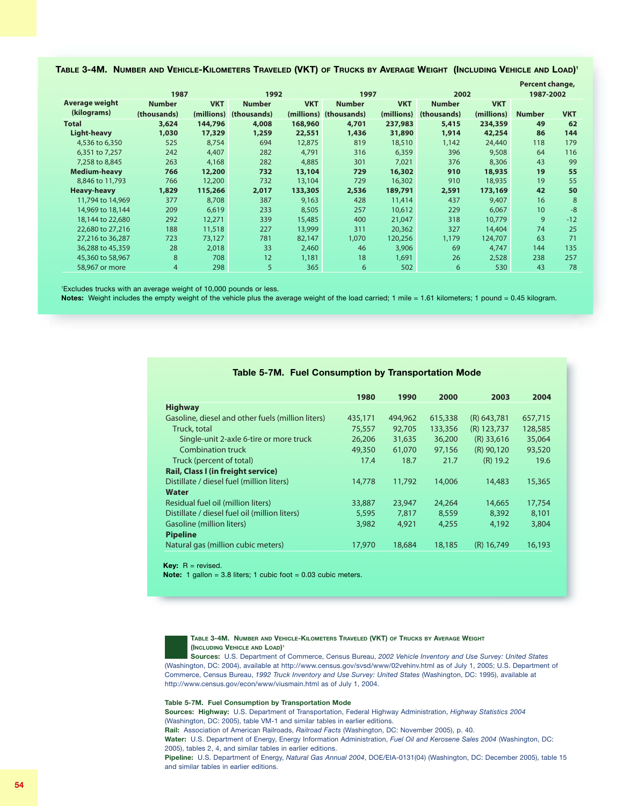| Table 3-4M.  Number and Vehicle-Kilometers Traveled (VKT) of Trucks by Average Weight  (Including Vehicle and Load)' |  |  |  |  |  |  |
|----------------------------------------------------------------------------------------------------------------------|--|--|--|--|--|--|
|----------------------------------------------------------------------------------------------------------------------|--|--|--|--|--|--|

|                     |                |            |               |            |                        |            |               |            | Percent change, |            |
|---------------------|----------------|------------|---------------|------------|------------------------|------------|---------------|------------|-----------------|------------|
|                     | 1987           |            | 1992          |            | 1997                   |            | 2002          |            | 1987-2002       |            |
| Average weight      | <b>Number</b>  | <b>VKT</b> | <b>Number</b> | <b>VKT</b> | <b>Number</b>          | <b>VKT</b> | <b>Number</b> | <b>VKT</b> |                 |            |
| (kilograms)         | (thousands)    | (millions) | (thousands)   |            | (millions) (thousands) | (millions) | (thousands)   | (millions) | <b>Number</b>   | <b>VKT</b> |
| <b>Total</b>        | 3,624          | 144,796    | 4,008         | 168,960    | 4,701                  | 237,983    | 5,415         | 234,359    | 49              | 62         |
| <b>Light-heavy</b>  | 1,030          | 17,329     | 1,259         | 22,551     | 1,436                  | 31,890     | 1,914         | 42,254     | 86              | 144        |
| 4,536 to 6,350      | 525            | 8,754      | 694           | 12,875     | 819                    | 18,510     | 1,142         | 24,440     | 118             | 179        |
| 6,351 to 7,257      | 242            | 4,407      | 282           | 4,791      | 316                    | 6,359      | 396           | 9,508      | 64              | 116        |
| 7,258 to 8,845      | 263            | 4,168      | 282           | 4,885      | 301                    | 7,021      | 376           | 8,306      | 43              | 99         |
| <b>Medium-heavy</b> | 766            | 12,200     | 732           | 13,104     | 729                    | 16,302     | 910           | 18,935     | 19              | 55         |
| 8,846 to 11,793     | 766            | 12,200     | 732           | 13,104     | 729                    | 16,302     | 910           | 18,935     | 19              | 55         |
| <b>Heavy-heavy</b>  | 1,829          | 115,266    | 2,017         | 133,305    | 2,536                  | 189,791    | 2,591         | 173,169    | 42              | 50         |
| 11,794 to 14,969    | 377            | 8,708      | 387           | 9,163      | 428                    | 11,414     | 437           | 9,407      | 16              | 8          |
| 14,969 to 18,144    | 209            | 6,619      | 233           | 8,505      | 257                    | 10,612     | 229           | 6,067      | 10 <sup>°</sup> | $-8$       |
| 18,144 to 22,680    | 292            | 12,271     | 339           | 15,485     | 400                    | 21,047     | 318           | 10,779     | 9               | $-12$      |
| 22,680 to 27,216    | 188            | 11,518     | 227           | 13,999     | 311                    | 20,362     | 327           | 14,404     | 74              | 25         |
| 27,216 to 36,287    | 723            | 73,127     | 781           | 82,147     | 1,070                  | 120,256    | 1,179         | 124,707    | 63              | 71         |
| 36,288 to 45,359    | 28             | 2,018      | 33            | 2,460      | 46                     | 3,906      | 69            | 4,747      | 144             | 135        |
| 45,360 to 58,967    | 8              | 708        | 12            | 1,181      | 18                     | 1,691      | 26            | 2,528      | 238             | 257        |
| 58,967 or more      | $\overline{4}$ | 298        | 5             | 365        | 6                      | 502        | 6             | 530        | 43              | 78         |

1 Excludes trucks with an average weight of 10,000 pounds or less.

Notes: Weight includes the empty weight of the vehicle plus the average weight of the load carried; 1 mile = 1.61 kilometers; 1 pound = 0.45 kilogram.

## **Table 5-7M. Fuel Consumption by Transportation Mode**

|                                                   | 1980    | 1990    | 2000    | 2003          | 2004    |
|---------------------------------------------------|---------|---------|---------|---------------|---------|
| <b>Highway</b>                                    |         |         |         |               |         |
| Gasoline, diesel and other fuels (million liters) | 435,171 | 494,962 | 615,338 | $(R)$ 643,781 | 657,715 |
| Truck, total                                      | 75,557  | 92,705  | 133,356 | $(R)$ 123,737 | 128,585 |
| Single-unit 2-axle 6-tire or more truck           | 26,206  | 31,635  | 36,200  | $(R)$ 33,616  | 35,064  |
| <b>Combination truck</b>                          | 49,350  | 61,070  | 97,156  | $(R)$ 90,120  | 93,520  |
| Truck (percent of total)                          | 17.4    | 18.7    | 21.7    | $(R)$ 19.2    | 19.6    |
| <b>Rail, Class I (in freight service)</b>         |         |         |         |               |         |
| Distillate / diesel fuel (million liters)         | 14,778  | 11,792  | 14,006  | 14,483        | 15,365  |
| <b>Water</b>                                      |         |         |         |               |         |
| Residual fuel oil (million liters)                | 33,887  | 23,947  | 24,264  | 14,665        | 17.754  |
| Distillate / diesel fuel oil (million liters)     | 5,595   | 7.817   | 8,559   | 8,392         | 8.101   |
| Gasoline (million liters)                         | 3,982   | 4,921   | 4,255   | 4.192         | 3,804   |
| <b>Pipeline</b>                                   |         |         |         |               |         |
| Natural gas (million cubic meters)                | 17,970  | 18,684  | 18,185  | $(R)$ 16.749  | 16,193  |
|                                                   |         |         |         |               |         |

**Key:** R = revised.

**Note:** 1 gallon = 3.8 liters; 1 cubic foot = 0.03 cubic meters.



#### **TABLE 3-4M. NUMBER AND VEHICLE-KILOMETERS TRAVELED (VKT) OF TRUCKS BY AVERAGE WEIGHT (INCLUDING VEHICLE AND LOAD) 1**

**Sources:** U.S. Department of Commerce, Census Bureau, *2002 Vehicle Inventory and Use Survey: United States* (Washington, DC: 2004), available at http://www.census.gov/svsd/www/02vehinv.html as of July 1, 2005; U.S. Department of Commerce, Census Bureau, *1992 Truck Inventory and Use Survey: United States* (Washington, DC: 1995), available at http://www.census.gov/econ/www/viusmain.html as of July 1, 2004.

#### **Table 5-7M. Fuel Consumption by Transportation Mode**

**Sources: Highway:** U.S. Department of Transportation, Federal Highway Administration, *Highway Statistics 2004* (Washington, DC: 2005), table VM-1 and similar tables in earlier editions.

**Rail:** Association of American Railroads, *Railroad Facts* (Washington, DC: November 2005), p. 40.

**Water:** U.S. Department of Energy, Energy Information Administration, *Fuel Oil and Kerosene Sales 2004* (Washington, DC: 2005), tables 2, 4, and similar tables in earlier editions.

**Pipeline:** U.S. Department of Energy, *Natural Gas Annual 2004*, DOE/EIA-0131(04) (Washington, DC: December 2005), table 15 and similar tables in earlier editions.